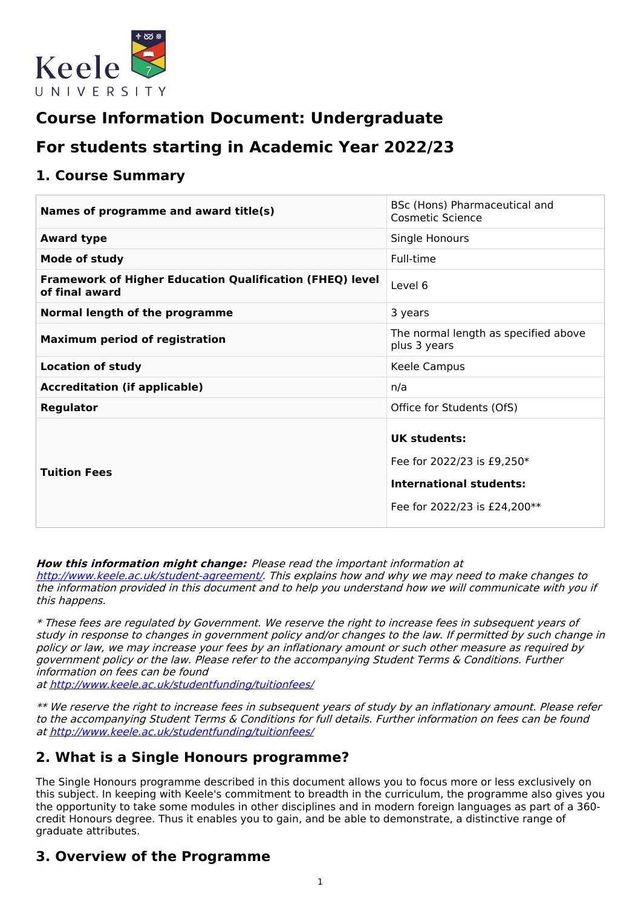

# **Course Information Document: Undergraduate**

# **For students starting in Academic Year 2022/23**

### **1. Course Summary**

| Names of programme and award title(s)                                             | BSc (Hons) Pharmaceutical and<br><b>Cosmetic Science</b>                                                     |
|-----------------------------------------------------------------------------------|--------------------------------------------------------------------------------------------------------------|
| <b>Award type</b>                                                                 | Single Honours                                                                                               |
| <b>Mode of study</b>                                                              | Full-time                                                                                                    |
| <b>Framework of Higher Education Qualification (FHEQ) level</b><br>of final award | Level 6                                                                                                      |
| Normal length of the programme                                                    | 3 years                                                                                                      |
| <b>Maximum period of registration</b>                                             | The normal length as specified above<br>plus 3 years                                                         |
| <b>Location of study</b>                                                          | Keele Campus                                                                                                 |
| <b>Accreditation (if applicable)</b>                                              | n/a                                                                                                          |
| <b>Regulator</b>                                                                  | Office for Students (OfS)                                                                                    |
| <b>Tuition Fees</b>                                                               | UK students:<br>Fee for 2022/23 is £9,250*<br><b>International students:</b><br>Fee for 2022/23 is £24,200** |

### **How this information might change:** Please read the important information at

<http://www.keele.ac.uk/student-agreement/>. This explains how and why we may need to make changes to the information provided in this document and to help you understand how we will communicate with you if this happens.

\* These fees are regulated by Government. We reserve the right to increase fees in subsequent years of study in response to changes in government policy and/or changes to the law. If permitted by such change in policy or law, we may increase your fees by an inflationary amount or such other measure as required by government policy or the law. Please refer to the accompanying Student Terms & Conditions. Further information on fees can be found

at <http://www.keele.ac.uk/studentfunding/tuitionfees/>

\*\* We reserve the right to increase fees in subsequent years of study by an inflationary amount. Please refer to the accompanying Student Terms & Conditions for full details. Further information on fees can be found at <http://www.keele.ac.uk/studentfunding/tuitionfees/>

# **2. What is a Single Honours programme?**

The Single Honours programme described in this document allows you to focus more or less exclusively on this subject. In keeping with Keele's commitment to breadth in the curriculum, the programme also gives you the opportunity to take some modules in other disciplines and in modern foreign languages as part of a 360 credit Honours degree. Thus it enables you to gain, and be able to demonstrate, a distinctive range of graduate attributes.

# **3. Overview of the Programme**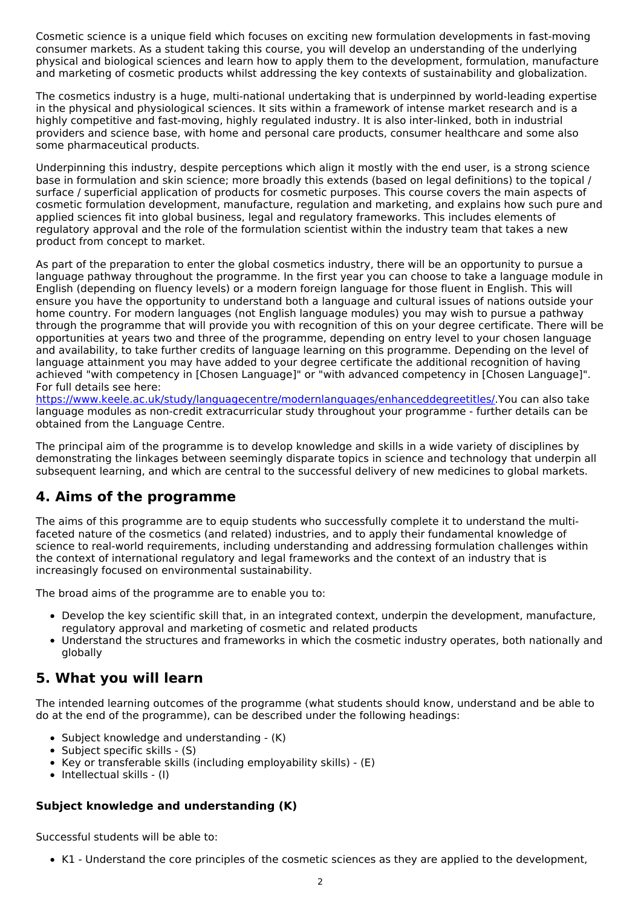Cosmetic science is a unique field which focuses on exciting new formulation developments in fast-moving consumer markets. As a student taking this course, you will develop an understanding of the underlying physical and biological sciences and learn how to apply them to the development, formulation, manufacture and marketing of cosmetic products whilst addressing the key contexts of sustainability and globalization.

The cosmetics industry is a huge, multi-national undertaking that is underpinned by world-leading expertise in the physical and physiological sciences. It sits within a framework of intense market research and is a highly competitive and fast-moving, highly regulated industry. It is also inter-linked, both in industrial providers and science base, with home and personal care products, consumer healthcare and some also some pharmaceutical products.

Underpinning this industry, despite perceptions which align it mostly with the end user, is a strong science base in formulation and skin science; more broadly this extends (based on legal definitions) to the topical / surface / superficial application of products for cosmetic purposes. This course covers the main aspects of cosmetic formulation development, manufacture, regulation and marketing, and explains how such pure and applied sciences fit into global business, legal and regulatory frameworks. This includes elements of regulatory approval and the role of the formulation scientist within the industry team that takes a new product from concept to market.

As part of the preparation to enter the global cosmetics industry, there will be an opportunity to pursue a language pathway throughout the programme. In the first year you can choose to take a language module in English (depending on fluency levels) or a modern foreign language for those fluent in English. This will ensure you have the opportunity to understand both a language and cultural issues of nations outside your home country. For modern languages (not English language modules) you may wish to pursue a pathway through the programme that will provide you with recognition of this on your degree certificate. There will be opportunities at years two and three of the programme, depending on entry level to your chosen language and availability, to take further credits of language learning on this programme. Depending on the level of language attainment you may have added to your degree certificate the additional recognition of having achieved "with competency in [Chosen Language]" or "with advanced competency in [Chosen Language]". For full details see here:

<https://www.keele.ac.uk/study/languagecentre/modernlanguages/enhanceddegreetitles/>.You can also take language modules as non-credit extracurricular study throughout your programme - further details can be obtained from the Language Centre.

The principal aim of the programme is to develop knowledge and skills in a wide variety of disciplines by demonstrating the linkages between seemingly disparate topics in science and technology that underpin all subsequent learning, and which are central to the successful delivery of new medicines to global markets.

# **4. Aims of the programme**

The aims of this programme are to equip students who successfully complete it to understand the multifaceted nature of the cosmetics (and related) industries, and to apply their fundamental knowledge of science to real-world requirements, including understanding and addressing formulation challenges within the context of international regulatory and legal frameworks and the context of an industry that is increasingly focused on environmental sustainability.

The broad aims of the programme are to enable you to:

- Develop the key scientific skill that, in an integrated context, underpin the development, manufacture, regulatory approval and marketing of cosmetic and related products
- Understand the structures and frameworks in which the cosmetic industry operates, both nationally and globally

# **5. What you will learn**

The intended learning outcomes of the programme (what students should know, understand and be able to do at the end of the programme), can be described under the following headings:

- Subject knowledge and understanding (K)
- $\bullet$  Subject specific skills (S)
- Key or transferable skills (including employability skills) (E)
- $\bullet$  Intellectual skills (I)

### **Subject knowledge and understanding (K)**

Successful students will be able to:

K1 - Understand the core principles of the cosmetic sciences as they are applied to the development,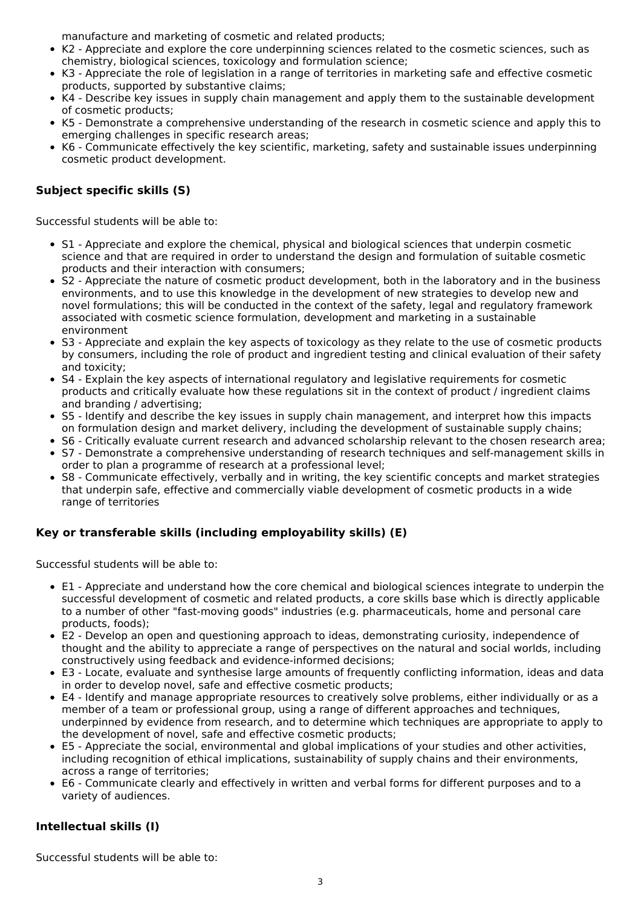manufacture and marketing of cosmetic and related products;

- K2 Appreciate and explore the core underpinning sciences related to the cosmetic sciences, such as chemistry, biological sciences, toxicology and formulation science;
- K3 Appreciate the role of legislation in a range of territories in marketing safe and effective cosmetic products, supported by substantive claims;
- K4 Describe key issues in supply chain management and apply them to the sustainable development  $\bullet$ of cosmetic products;
- K5 Demonstrate a comprehensive understanding of the research in cosmetic science and apply this to emerging challenges in specific research areas;
- K6 Communicate effectively the key scientific, marketing, safety and sustainable issues underpinning cosmetic product development.

### **Subject specific skills (S)**

Successful students will be able to:

- S1 Appreciate and explore the chemical, physical and biological sciences that underpin cosmetic science and that are required in order to understand the design and formulation of suitable cosmetic products and their interaction with consumers;
- S2 Appreciate the nature of cosmetic product development, both in the laboratory and in the business environments, and to use this knowledge in the development of new strategies to develop new and novel formulations; this will be conducted in the context of the safety, legal and regulatory framework associated with cosmetic science formulation, development and marketing in a sustainable environment
- S3 Appreciate and explain the key aspects of toxicology as they relate to the use of cosmetic products by consumers, including the role of product and ingredient testing and clinical evaluation of their safety and toxicity;
- S4 Explain the key aspects of international regulatory and legislative requirements for cosmetic products and critically evaluate how these regulations sit in the context of product / ingredient claims and branding / advertising;
- S5 Identify and describe the key issues in supply chain management, and interpret how this impacts on formulation design and market delivery, including the development of sustainable supply chains;
- S6 Critically evaluate current research and advanced scholarship relevant to the chosen research area;
- S7 Demonstrate a comprehensive understanding of research techniques and self-management skills in order to plan a programme of research at a professional level;
- S8 Communicate effectively, verbally and in writing, the key scientific concepts and market strategies that underpin safe, effective and commercially viable development of cosmetic products in a wide range of territories

### **Key or transferable skills (including employability skills) (E)**

Successful students will be able to:

- E1 Appreciate and understand how the core chemical and biological sciences integrate to underpin the successful development of cosmetic and related products, a core skills base which is directly applicable to a number of other "fast-moving goods" industries (e.g. pharmaceuticals, home and personal care products, foods);
- E2 Develop an open and questioning approach to ideas, demonstrating curiosity, independence of thought and the ability to appreciate a range of perspectives on the natural and social worlds, including constructively using feedback and evidence-informed decisions;
- E3 Locate, evaluate and synthesise large amounts of frequently conflicting information, ideas and data in order to develop novel, safe and effective cosmetic products;
- E4 Identify and manage appropriate resources to creatively solve problems, either individually or as a member of a team or professional group, using a range of different approaches and techniques, underpinned by evidence from research, and to determine which techniques are appropriate to apply to the development of novel, safe and effective cosmetic products;
- E5 Appreciate the social, environmental and global implications of your studies and other activities, including recognition of ethical implications, sustainability of supply chains and their environments, across a range of territories;
- E6 Communicate clearly and effectively in written and verbal forms for different purposes and to a variety of audiences.

### **Intellectual skills (I)**

Successful students will be able to: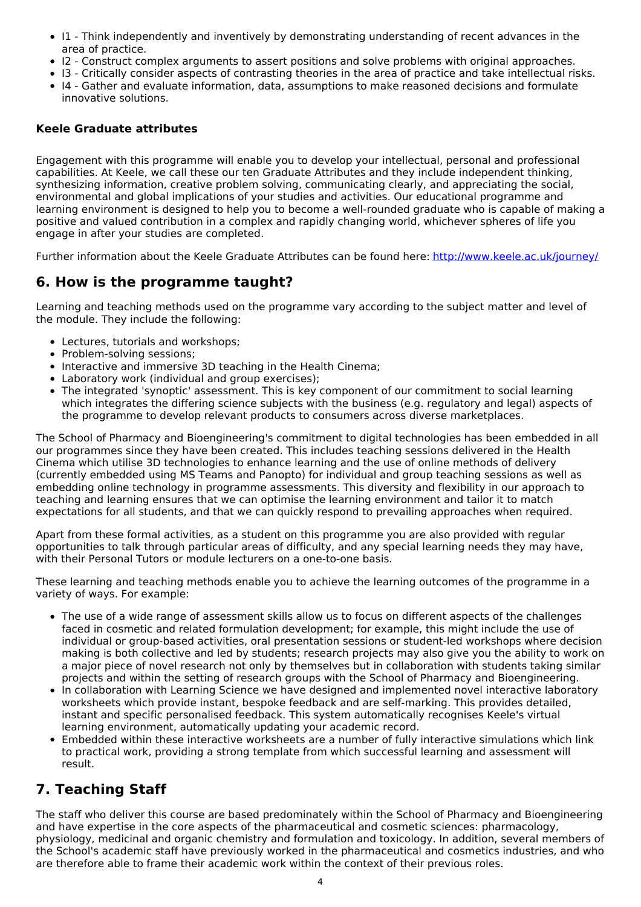- I1 Think independently and inventively by demonstrating understanding of recent advances in the area of practice.
- I2 Construct complex arguments to assert positions and solve problems with original approaches.
- I3 Critically consider aspects of contrasting theories in the area of practice and take intellectual risks.
- I4 Gather and evaluate information, data, assumptions to make reasoned decisions and formulate innovative solutions.

### **Keele Graduate attributes**

Engagement with this programme will enable you to develop your intellectual, personal and professional capabilities. At Keele, we call these our ten Graduate Attributes and they include independent thinking, synthesizing information, creative problem solving, communicating clearly, and appreciating the social, environmental and global implications of your studies and activities. Our educational programme and learning environment is designed to help you to become a well-rounded graduate who is capable of making a positive and valued contribution in a complex and rapidly changing world, whichever spheres of life you engage in after your studies are completed.

Further information about the Keele Graduate Attributes can be found here: <http://www.keele.ac.uk/journey/>

# **6. How is the programme taught?**

Learning and teaching methods used on the programme vary according to the subject matter and level of the module. They include the following:

- Lectures, tutorials and workshops;
- Problem-solving sessions:
- Interactive and immersive 3D teaching in the Health Cinema:
- Laboratory work (individual and group exercises);
- The integrated 'synoptic' assessment. This is key component of our commitment to social learning which integrates the differing science subjects with the business (e.g. regulatory and legal) aspects of the programme to develop relevant products to consumers across diverse marketplaces.

The School of Pharmacy and Bioengineering's commitment to digital technologies has been embedded in all our programmes since they have been created. This includes teaching sessions delivered in the Health Cinema which utilise 3D technologies to enhance learning and the use of online methods of delivery (currently embedded using MS Teams and Panopto) for individual and group teaching sessions as well as embedding online technology in programme assessments. This diversity and flexibility in our approach to teaching and learning ensures that we can optimise the learning environment and tailor it to match expectations for all students, and that we can quickly respond to prevailing approaches when required.

Apart from these formal activities, as a student on this programme you are also provided with regular opportunities to talk through particular areas of difficulty, and any special learning needs they may have, with their Personal Tutors or module lecturers on a one-to-one basis.

These learning and teaching methods enable you to achieve the learning outcomes of the programme in a variety of ways. For example:

- The use of a wide range of assessment skills allow us to focus on different aspects of the challenges faced in cosmetic and related formulation development; for example, this might include the use of individual or group-based activities, oral presentation sessions or student-led workshops where decision making is both collective and led by students; research projects may also give you the ability to work on a major piece of novel research not only by themselves but in collaboration with students taking similar projects and within the setting of research groups with the School of Pharmacy and Bioengineering.
- In collaboration with Learning Science we have designed and implemented novel interactive laboratory worksheets which provide instant, bespoke feedback and are self-marking. This provides detailed, instant and specific personalised feedback. This system automatically recognises Keele's virtual learning environment, automatically updating your academic record.
- Embedded within these interactive worksheets are a number of fully interactive simulations which link to practical work, providing a strong template from which successful learning and assessment will result.

# **7. Teaching Staff**

The staff who deliver this course are based predominately within the School of Pharmacy and Bioengineering and have expertise in the core aspects of the pharmaceutical and cosmetic sciences: pharmacology, physiology, medicinal and organic chemistry and formulation and toxicology. In addition, several members of the School's academic staff have previously worked in the pharmaceutical and cosmetics industries, and who are therefore able to frame their academic work within the context of their previous roles.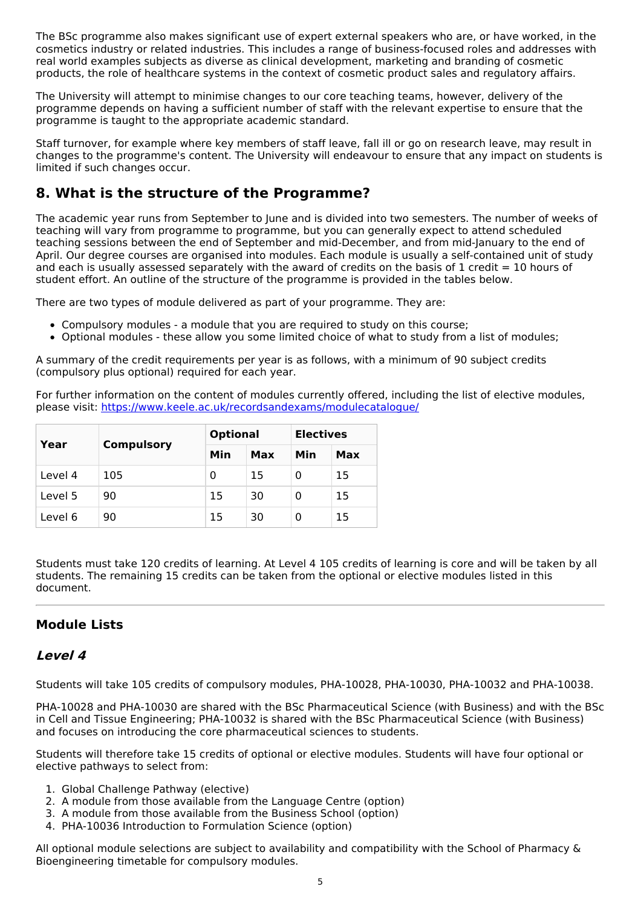The BSc programme also makes significant use of expert external speakers who are, or have worked, in the cosmetics industry or related industries. This includes a range of business-focused roles and addresses with real world examples subjects as diverse as clinical development, marketing and branding of cosmetic products, the role of healthcare systems in the context of cosmetic product sales and regulatory affairs.

The University will attempt to minimise changes to our core teaching teams, however, delivery of the programme depends on having a sufficient number of staff with the relevant expertise to ensure that the programme is taught to the appropriate academic standard.

Staff turnover, for example where key members of staff leave, fall ill or go on research leave, may result in changes to the programme's content. The University will endeavour to ensure that any impact on students is limited if such changes occur.

# **8. What is the structure of the Programme?**

The academic year runs from September to June and is divided into two semesters. The number of weeks of teaching will vary from programme to programme, but you can generally expect to attend scheduled teaching sessions between the end of September and mid-December, and from mid-January to the end of April. Our degree courses are organised into modules. Each module is usually a self-contained unit of study and each is usually assessed separately with the award of credits on the basis of 1 credit = 10 hours of student effort. An outline of the structure of the programme is provided in the tables below.

There are two types of module delivered as part of your programme. They are:

- Compulsory modules a module that you are required to study on this course;
- Optional modules these allow you some limited choice of what to study from a list of modules;

A summary of the credit requirements per year is as follows, with a minimum of 90 subject credits (compulsory plus optional) required for each year.

For further information on the content of modules currently offered, including the list of elective modules, please visit: <https://www.keele.ac.uk/recordsandexams/modulecatalogue/>

| Year    | <b>Compulsory</b> | <b>Optional</b> |     | <b>Electives</b> |     |
|---------|-------------------|-----------------|-----|------------------|-----|
|         |                   | Min             | Max | Min              | Max |
| Level 4 | 105               | 0               | 15  | 0                | 15  |
| Level 5 | 90                | 15              | 30  | 0                | 15  |
| Level 6 | 90                | 15              | 30  | 0                | 15  |

Students must take 120 credits of learning. At Level 4 105 credits of learning is core and will be taken by all students. The remaining 15 credits can be taken from the optional or elective modules listed in this document.

### **Module Lists**

### **Level 4**

Students will take 105 credits of compulsory modules, PHA-10028, PHA-10030, PHA-10032 and PHA-10038.

PHA-10028 and PHA-10030 are shared with the BSc Pharmaceutical Science (with Business) and with the BSc in Cell and Tissue Engineering; PHA-10032 is shared with the BSc Pharmaceutical Science (with Business) and focuses on introducing the core pharmaceutical sciences to students.

Students will therefore take 15 credits of optional or elective modules. Students will have four optional or elective pathways to select from:

- 1. Global Challenge Pathway (elective)
- 2. A module from those available from the Language Centre (option)
- 3. A module from those available from the Business School (option)
- 4. PHA-10036 Introduction to Formulation Science (option)

All optional module selections are subject to availability and compatibility with the School of Pharmacy & Bioengineering timetable for compulsory modules.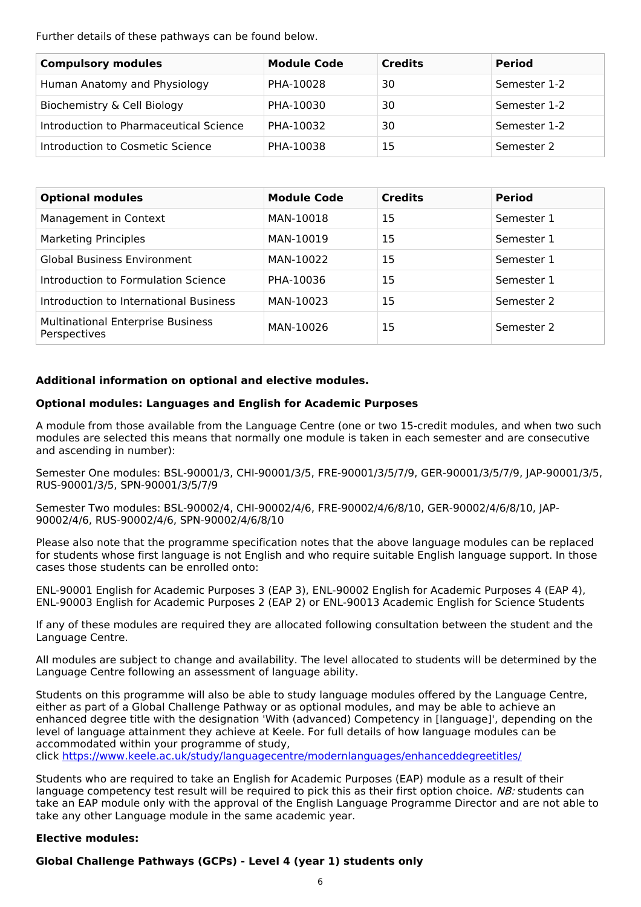Further details of these pathways can be found below.

| <b>Compulsory modules</b>              | <b>Module Code</b> | <b>Credits</b> | <b>Period</b> |
|----------------------------------------|--------------------|----------------|---------------|
| Human Anatomy and Physiology           | PHA-10028          | 30             | Semester 1-2  |
| Biochemistry & Cell Biology            | PHA-10030          | 30             | Semester 1-2  |
| Introduction to Pharmaceutical Science | PHA-10032          | 30             | Semester 1-2  |
| Introduction to Cosmetic Science       | PHA-10038          | 15             | Semester 2    |

| <b>Optional modules</b>                                  | <b>Module Code</b> | <b>Credits</b> | <b>Period</b> |
|----------------------------------------------------------|--------------------|----------------|---------------|
| Management in Context                                    | MAN-10018          | 15             | Semester 1    |
| <b>Marketing Principles</b>                              | MAN-10019          | 15             | Semester 1    |
| <b>Global Business Environment</b>                       | MAN-10022          | 15             | Semester 1    |
| Introduction to Formulation Science                      | PHA-10036          | 15             | Semester 1    |
| Introduction to International Business                   | MAN-10023          | 15             | Semester 2    |
| <b>Multinational Enterprise Business</b><br>Perspectives | MAN-10026          | 15             | Semester 2    |

#### **Additional information on optional and elective modules.**

#### **Optional modules: Languages and English for Academic Purposes**

A module from those available from the Language Centre (one or two 15-credit modules, and when two such modules are selected this means that normally one module is taken in each semester and are consecutive and ascending in number):

Semester One modules: BSL-90001/3, CHI-90001/3/5, FRE-90001/3/5/7/9, GER-90001/3/5/7/9, JAP-90001/3/5, RUS-90001/3/5, SPN-90001/3/5/7/9

Semester Two modules: BSL-90002/4, CHI-90002/4/6, FRE-90002/4/6/8/10, GER-90002/4/6/8/10, JAP-90002/4/6, RUS-90002/4/6, SPN-90002/4/6/8/10

Please also note that the programme specification notes that the above language modules can be replaced for students whose first language is not English and who require suitable English language support. In those cases those students can be enrolled onto:

ENL-90001 English for Academic Purposes 3 (EAP 3), ENL-90002 English for Academic Purposes 4 (EAP 4), ENL-90003 English for Academic Purposes 2 (EAP 2) or ENL-90013 Academic English for Science Students

If any of these modules are required they are allocated following consultation between the student and the Language Centre.

All modules are subject to change and availability. The level allocated to students will be determined by the Language Centre following an assessment of language ability.

Students on this programme will also be able to study language modules offered by the Language Centre, either as part of a Global Challenge Pathway or as optional modules, and may be able to achieve an enhanced degree title with the designation 'With (advanced) Competency in [language]', depending on the level of language attainment they achieve at Keele. For full details of how language modules can be accommodated within your programme of study,

click <https://www.keele.ac.uk/study/languagecentre/modernlanguages/enhanceddegreetitles/>

Students who are required to take an English for Academic Purposes (EAP) module as a result of their language competency test result will be required to pick this as their first option choice. NB: students can take an EAP module only with the approval of the English Language Programme Director and are not able to take any other Language module in the same academic year.

#### **Elective modules:**

#### **Global Challenge Pathways (GCPs) - Level 4 (year 1) students only**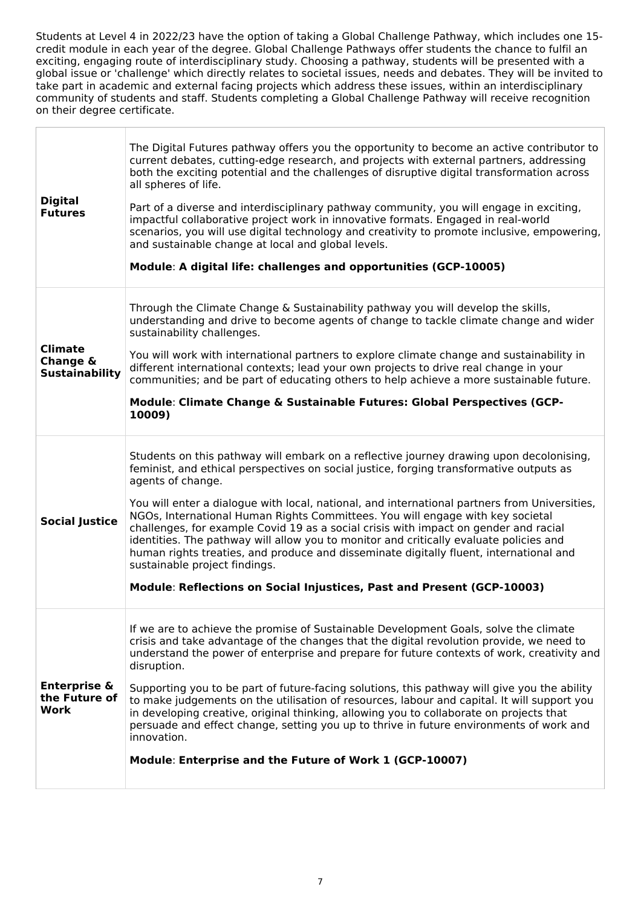Students at Level 4 in 2022/23 have the option of taking a Global Challenge Pathway, which includes one 15 credit module in each year of the degree. Global Challenge Pathways offer students the chance to fulfil an exciting, engaging route of interdisciplinary study. Choosing a pathway, students will be presented with a global issue or 'challenge' which directly relates to societal issues, needs and debates. They will be invited to take part in academic and external facing projects which address these issues, within an interdisciplinary community of students and staff. Students completing a Global Challenge Pathway will receive recognition on their degree certificate.

| <b>Digital</b><br><b>Futures</b>                    | The Digital Futures pathway offers you the opportunity to become an active contributor to<br>current debates, cutting-edge research, and projects with external partners, addressing<br>both the exciting potential and the challenges of disruptive digital transformation across<br>all spheres of life.<br>Part of a diverse and interdisciplinary pathway community, you will engage in exciting,<br>impactful collaborative project work in innovative formats. Engaged in real-world<br>scenarios, you will use digital technology and creativity to promote inclusive, empowering,<br>and sustainable change at local and global levels.<br>Module: A digital life: challenges and opportunities (GCP-10005)                                                               |
|-----------------------------------------------------|-----------------------------------------------------------------------------------------------------------------------------------------------------------------------------------------------------------------------------------------------------------------------------------------------------------------------------------------------------------------------------------------------------------------------------------------------------------------------------------------------------------------------------------------------------------------------------------------------------------------------------------------------------------------------------------------------------------------------------------------------------------------------------------|
| <b>Climate</b><br>Change &<br><b>Sustainability</b> | Through the Climate Change & Sustainability pathway you will develop the skills,<br>understanding and drive to become agents of change to tackle climate change and wider<br>sustainability challenges.<br>You will work with international partners to explore climate change and sustainability in<br>different international contexts; lead your own projects to drive real change in your<br>communities; and be part of educating others to help achieve a more sustainable future.<br>Module: Climate Change & Sustainable Futures: Global Perspectives (GCP-<br>10009)                                                                                                                                                                                                     |
| <b>Social Justice</b>                               | Students on this pathway will embark on a reflective journey drawing upon decolonising,<br>feminist, and ethical perspectives on social justice, forging transformative outputs as<br>agents of change.<br>You will enter a dialogue with local, national, and international partners from Universities,<br>NGOs, International Human Rights Committees. You will engage with key societal<br>challenges, for example Covid 19 as a social crisis with impact on gender and racial<br>identities. The pathway will allow you to monitor and critically evaluate policies and<br>human rights treaties, and produce and disseminate digitally fluent, international and<br>sustainable project findings.<br>Module: Reflections on Social Injustices, Past and Present (GCP-10003) |
| <b>Enterprise &amp;</b><br>the Future of<br>Work    | If we are to achieve the promise of Sustainable Development Goals, solve the climate<br>crisis and take advantage of the changes that the digital revolution provide, we need to<br>understand the power of enterprise and prepare for future contexts of work, creativity and<br>disruption.<br>Supporting you to be part of future-facing solutions, this pathway will give you the ability<br>to make judgements on the utilisation of resources, labour and capital. It will support you<br>in developing creative, original thinking, allowing you to collaborate on projects that<br>persuade and effect change, setting you up to thrive in future environments of work and<br>innovation.<br>Module: Enterprise and the Future of Work 1 (GCP-10007)                      |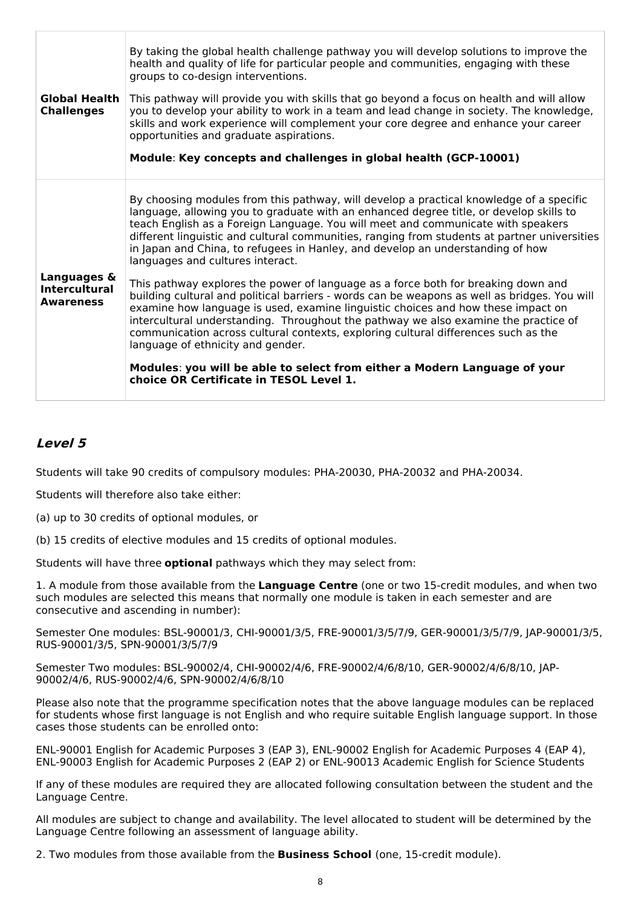| <b>Global Health</b><br><b>Challenges</b> | By taking the global health challenge pathway you will develop solutions to improve the<br>health and quality of life for particular people and communities, engaging with these<br>groups to co-design interventions.<br>This pathway will provide you with skills that go beyond a focus on health and will allow<br>you to develop your ability to work in a team and lead change in society. The knowledge,<br>skills and work experience will complement your core degree and enhance your career<br>opportunities and graduate aspirations.<br>Module: Key concepts and challenges in global health (GCP-10001) |
|-------------------------------------------|-----------------------------------------------------------------------------------------------------------------------------------------------------------------------------------------------------------------------------------------------------------------------------------------------------------------------------------------------------------------------------------------------------------------------------------------------------------------------------------------------------------------------------------------------------------------------------------------------------------------------|
| Languages &                               | By choosing modules from this pathway, will develop a practical knowledge of a specific<br>language, allowing you to graduate with an enhanced degree title, or develop skills to<br>teach English as a Foreign Language. You will meet and communicate with speakers<br>different linguistic and cultural communities, ranging from students at partner universities<br>in Japan and China, to refugees in Hanley, and develop an understanding of how<br>languages and cultures interact.<br>This pathway explores the power of language as a force both for breaking down and                                      |
| <b>Intercultural</b><br><b>Awareness</b>  | building cultural and political barriers - words can be weapons as well as bridges. You will<br>examine how language is used, examine linguistic choices and how these impact on<br>intercultural understanding. Throughout the pathway we also examine the practice of<br>communication across cultural contexts, exploring cultural differences such as the<br>language of ethnicity and gender.                                                                                                                                                                                                                    |
|                                           | Modules: you will be able to select from either a Modern Language of your<br>choice OR Certificate in TESOL Level 1.                                                                                                                                                                                                                                                                                                                                                                                                                                                                                                  |

### **Level 5**

Students will take 90 credits of compulsory modules: PHA-20030, PHA-20032 and PHA-20034.

Students will therefore also take either:

- (a) up to 30 credits of optional modules, or
- (b) 15 credits of elective modules and 15 credits of optional modules.

Students will have three **optional** pathways which they may select from:

1. A module from those available from the **Language Centre** (one or two 15-credit modules, and when two such modules are selected this means that normally one module is taken in each semester and are consecutive and ascending in number):

Semester One modules: BSL-90001/3, CHI-90001/3/5, FRE-90001/3/5/7/9, GER-90001/3/5/7/9, JAP-90001/3/5, RUS-90001/3/5, SPN-90001/3/5/7/9

Semester Two modules: BSL-90002/4, CHI-90002/4/6, FRE-90002/4/6/8/10, GER-90002/4/6/8/10, JAP-90002/4/6, RUS-90002/4/6, SPN-90002/4/6/8/10

Please also note that the programme specification notes that the above language modules can be replaced for students whose first language is not English and who require suitable English language support. In those cases those students can be enrolled onto:

ENL-90001 English for Academic Purposes 3 (EAP 3), ENL-90002 English for Academic Purposes 4 (EAP 4), ENL-90003 English for Academic Purposes 2 (EAP 2) or ENL-90013 Academic English for Science Students

If any of these modules are required they are allocated following consultation between the student and the Language Centre.

All modules are subject to change and availability. The level allocated to student will be determined by the Language Centre following an assessment of language ability.

2. Two modules from those available from the **Business School** (one, 15-credit module).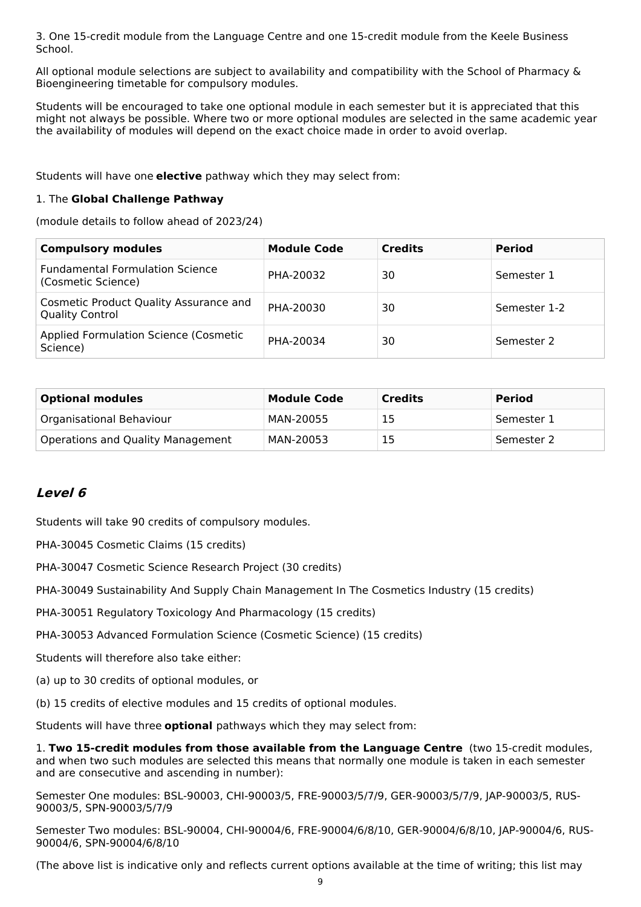3. One 15-credit module from the Language Centre and one 15-credit module from the Keele Business School.

All optional module selections are subject to availability and compatibility with the School of Pharmacy & Bioengineering timetable for compulsory modules.

Students will be encouraged to take one optional module in each semester but it is appreciated that this might not always be possible. Where two or more optional modules are selected in the same academic year the availability of modules will depend on the exact choice made in order to avoid overlap.

Students will have one **elective** pathway which they may select from:

#### 1. The **Global Challenge Pathway**

(module details to follow ahead of 2023/24)

| <b>Compulsory modules</b>                                               | <b>Module Code</b> | <b>Credits</b> | <b>Period</b> |
|-------------------------------------------------------------------------|--------------------|----------------|---------------|
| <b>Fundamental Formulation Science</b><br>(Cosmetic Science)            | PHA-20032          | 30             | Semester 1    |
| <b>Cosmetic Product Quality Assurance and</b><br><b>Quality Control</b> | PHA-20030          | 30             | Semester 1-2  |
| <b>Applied Formulation Science (Cosmetic)</b><br>Science)               | PHA-20034          | 30             | Semester 2    |

| <b>Optional modules</b>           | <b>Module Code</b> | <b>Credits</b> | <b>Period</b> |
|-----------------------------------|--------------------|----------------|---------------|
| Organisational Behaviour          | MAN-20055          | 15             | Semester 1    |
| Operations and Quality Management | MAN-20053          | 15             | Semester 2    |

### **Level 6**

Students will take 90 credits of compulsory modules.

PHA-30045 Cosmetic Claims (15 credits)

PHA-30047 Cosmetic Science Research Project (30 credits)

PHA-30049 Sustainability And Supply Chain Management In The Cosmetics Industry (15 credits)

PHA-30051 Regulatory Toxicology And Pharmacology (15 credits)

PHA-30053 Advanced Formulation Science (Cosmetic Science) (15 credits)

Students will therefore also take either:

(a) up to 30 credits of optional modules, or

(b) 15 credits of elective modules and 15 credits of optional modules.

Students will have three **optional** pathways which they may select from:

1. **Two 15-credit modules from those available from the Language Centre** (two 15-credit modules, and when two such modules are selected this means that normally one module is taken in each semester and are consecutive and ascending in number):

Semester One modules: BSL-90003, CHI-90003/5, FRE-90003/5/7/9, GER-90003/5/7/9, JAP-90003/5, RUS-90003/5, SPN-90003/5/7/9

Semester Two modules: BSL-90004, CHI-90004/6, FRE-90004/6/8/10, GER-90004/6/8/10, JAP-90004/6, RUS-90004/6, SPN-90004/6/8/10

(The above list is indicative only and reflects current options available at the time of writing; this list may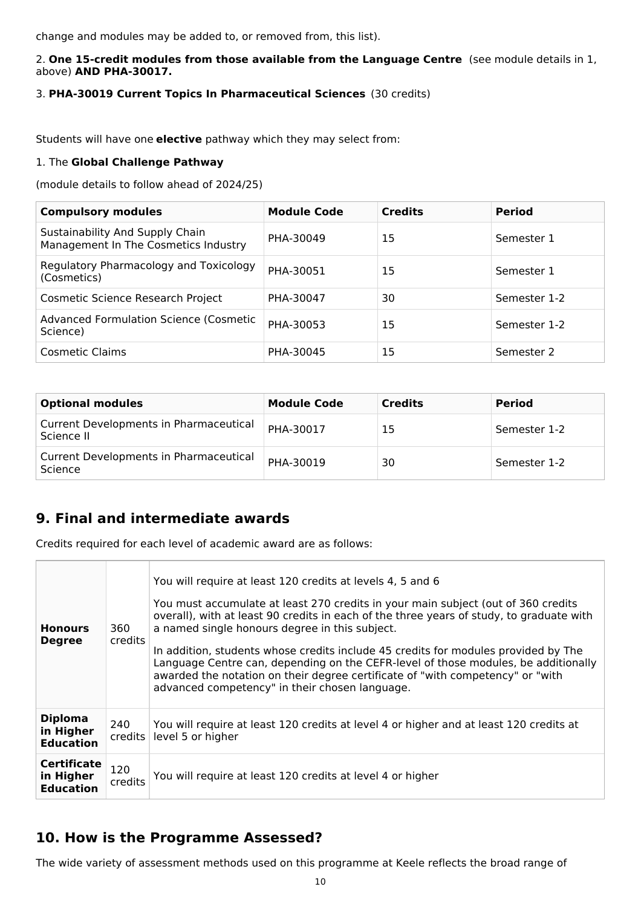change and modules may be added to, or removed from, this list).

#### 2. **One 15-credit modules from those available from the Language Centre** (see module details in 1, above) **AND PHA-30017.**

### 3. **PHA-30019 Current Topics In Pharmaceutical Sciences** (30 credits)

Students will have one **elective** pathway which they may select from:

#### 1. The **Global Challenge Pathway**

(module details to follow ahead of 2024/25)

| <b>Compulsory modules</b>                                               | <b>Module Code</b> | <b>Credits</b> | <b>Period</b> |
|-------------------------------------------------------------------------|--------------------|----------------|---------------|
| Sustainability And Supply Chain<br>Management In The Cosmetics Industry | PHA-30049          | 15             | Semester 1    |
| Regulatory Pharmacology and Toxicology<br>(Cosmetics)                   | PHA-30051          | 15             | Semester 1    |
| Cosmetic Science Research Project                                       | PHA-30047          | 30             | Semester 1-2  |
| <b>Advanced Formulation Science (Cosmetic</b><br>Science)               | PHA-30053          | 15             | Semester 1-2  |
| <b>Cosmetic Claims</b>                                                  | PHA-30045          | 15             | Semester 2    |

| <b>Optional modules</b>                              | <b>Module Code</b> | <b>Credits</b> | <b>Period</b> |
|------------------------------------------------------|--------------------|----------------|---------------|
| Current Developments in Pharmaceutical<br>Science II | PHA-30017          | 15             | Semester 1-2  |
| Current Developments in Pharmaceutical<br>Science    | PHA-30019          | 30             | Semester 1-2  |

# **9. Final and intermediate awards**

Credits required for each level of academic award are as follows:

| <b>Honours</b><br><b>Degree</b>                     | 360<br>credits | You will require at least 120 credits at levels 4, 5 and 6<br>You must accumulate at least 270 credits in your main subject (out of 360 credits<br>overall), with at least 90 credits in each of the three years of study, to graduate with<br>a named single honours degree in this subject.<br>In addition, students whose credits include 45 credits for modules provided by The<br>Language Centre can, depending on the CEFR-level of those modules, be additionally<br>awarded the notation on their degree certificate of "with competency" or "with<br>advanced competency" in their chosen language. |
|-----------------------------------------------------|----------------|---------------------------------------------------------------------------------------------------------------------------------------------------------------------------------------------------------------------------------------------------------------------------------------------------------------------------------------------------------------------------------------------------------------------------------------------------------------------------------------------------------------------------------------------------------------------------------------------------------------|
| <b>Diploma</b><br>in Higher<br><b>Education</b>     | 240<br>credits | You will require at least 120 credits at level 4 or higher and at least 120 credits at<br>level 5 or higher                                                                                                                                                                                                                                                                                                                                                                                                                                                                                                   |
| <b>Certificate</b><br>in Higher<br><b>Education</b> | 120<br>credits | You will require at least 120 credits at level 4 or higher                                                                                                                                                                                                                                                                                                                                                                                                                                                                                                                                                    |

# **10. How is the Programme Assessed?**

The wide variety of assessment methods used on this programme at Keele reflects the broad range of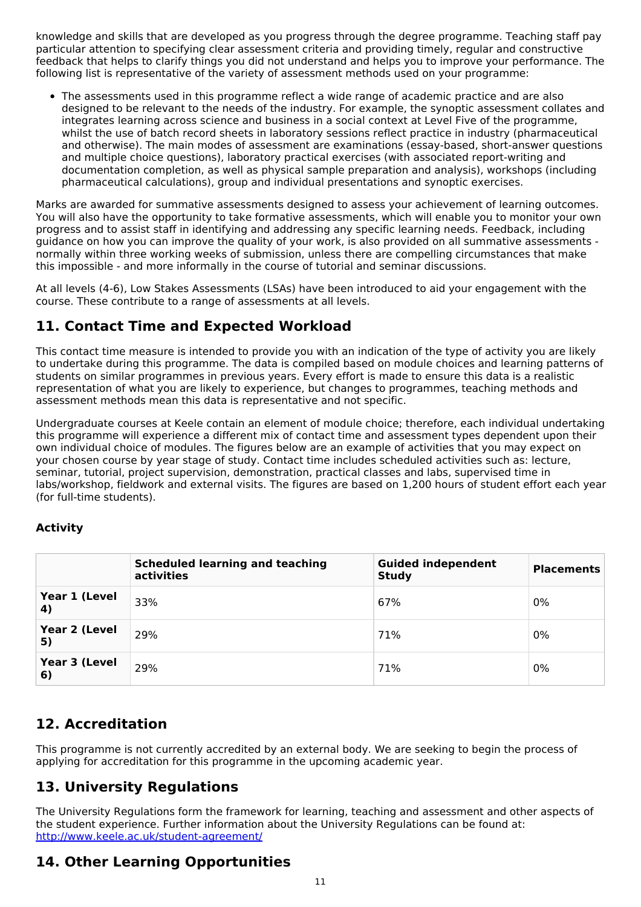knowledge and skills that are developed as you progress through the degree programme. Teaching staff pay particular attention to specifying clear assessment criteria and providing timely, regular and constructive feedback that helps to clarify things you did not understand and helps you to improve your performance. The following list is representative of the variety of assessment methods used on your programme:

The assessments used in this programme reflect a wide range of academic practice and are also designed to be relevant to the needs of the industry. For example, the synoptic assessment collates and integrates learning across science and business in a social context at Level Five of the programme, whilst the use of batch record sheets in laboratory sessions reflect practice in industry (pharmaceutical and otherwise). The main modes of assessment are examinations (essay-based, short-answer questions and multiple choice questions), laboratory practical exercises (with associated report-writing and documentation completion, as well as physical sample preparation and analysis), workshops (including pharmaceutical calculations), group and individual presentations and synoptic exercises.

Marks are awarded for summative assessments designed to assess your achievement of learning outcomes. You will also have the opportunity to take formative assessments, which will enable you to monitor your own progress and to assist staff in identifying and addressing any specific learning needs. Feedback, including guidance on how you can improve the quality of your work, is also provided on all summative assessments normally within three working weeks of submission, unless there are compelling circumstances that make this impossible - and more informally in the course of tutorial and seminar discussions.

At all levels (4-6), Low Stakes Assessments (LSAs) have been introduced to aid your engagement with the course. These contribute to a range of assessments at all levels.

# **11. Contact Time and Expected Workload**

This contact time measure is intended to provide you with an indication of the type of activity you are likely to undertake during this programme. The data is compiled based on module choices and learning patterns of students on similar programmes in previous years. Every effort is made to ensure this data is a realistic representation of what you are likely to experience, but changes to programmes, teaching methods and assessment methods mean this data is representative and not specific.

Undergraduate courses at Keele contain an element of module choice; therefore, each individual undertaking this programme will experience a different mix of contact time and assessment types dependent upon their own individual choice of modules. The figures below are an example of activities that you may expect on your chosen course by year stage of study. Contact time includes scheduled activities such as: lecture, seminar, tutorial, project supervision, demonstration, practical classes and labs, supervised time in labs/workshop, fieldwork and external visits. The figures are based on 1,200 hours of student effort each year (for full-time students).

### **Activity**

|                     | <b>Scheduled learning and teaching</b><br>activities | <b>Guided independent</b><br><b>Study</b> | <b>Placements</b> |
|---------------------|------------------------------------------------------|-------------------------------------------|-------------------|
| Year 1 (Level<br>4) | 33%                                                  | 67%                                       | 0%                |
| Year 2 (Level<br>5) | 29%                                                  | 71%                                       | 0%                |
| Year 3 (Level<br>6) | 29%                                                  | 71%                                       | 0%                |

# **12. Accreditation**

This programme is not currently accredited by an external body. We are seeking to begin the process of applying for accreditation for this programme in the upcoming academic year.

# **13. University Regulations**

The University Regulations form the framework for learning, teaching and assessment and other aspects of the student experience. Further information about the University Regulations can be found at: <http://www.keele.ac.uk/student-agreement/>

# **14. Other Learning Opportunities**